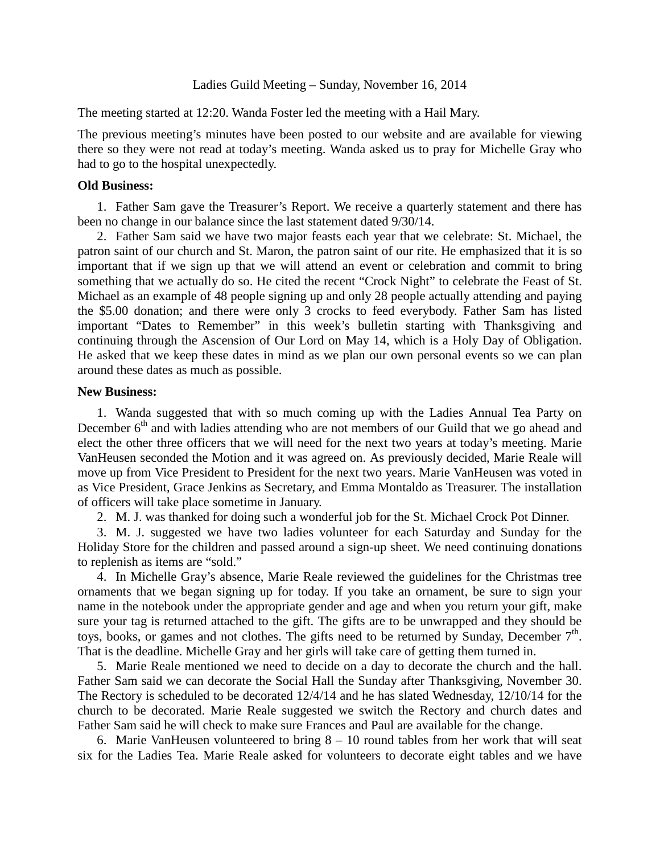## Ladies Guild Meeting – Sunday, November 16, 2014

The meeting started at 12:20. Wanda Foster led the meeting with a Hail Mary.

The previous meeting's minutes have been posted to our website and are available for viewing there so they were not read at today's meeting. Wanda asked us to pray for Michelle Gray who had to go to the hospital unexpectedly.

## **Old Business:**

1. Father Sam gave the Treasurer's Report. We receive a quarterly statement and there has been no change in our balance since the last statement dated 9/30/14.

2. Father Sam said we have two major feasts each year that we celebrate: St. Michael, the patron saint of our church and St. Maron, the patron saint of our rite. He emphasized that it is so important that if we sign up that we will attend an event or celebration and commit to bring something that we actually do so. He cited the recent "Crock Night" to celebrate the Feast of St. Michael as an example of 48 people signing up and only 28 people actually attending and paying the \$5.00 donation; and there were only 3 crocks to feed everybody. Father Sam has listed important "Dates to Remember" in this week's bulletin starting with Thanksgiving and continuing through the Ascension of Our Lord on May 14, which is a Holy Day of Obligation. He asked that we keep these dates in mind as we plan our own personal events so we can plan around these dates as much as possible.

## **New Business:**

1. Wanda suggested that with so much coming up with the Ladies Annual Tea Party on December  $6<sup>th</sup>$  and with ladies attending who are not members of our Guild that we go ahead and elect the other three officers that we will need for the next two years at today's meeting. Marie VanHeusen seconded the Motion and it was agreed on. As previously decided, Marie Reale will move up from Vice President to President for the next two years. Marie VanHeusen was voted in as Vice President, Grace Jenkins as Secretary, and Emma Montaldo as Treasurer. The installation of officers will take place sometime in January.

2. M. J. was thanked for doing such a wonderful job for the St. Michael Crock Pot Dinner.

3. M. J. suggested we have two ladies volunteer for each Saturday and Sunday for the Holiday Store for the children and passed around a sign-up sheet. We need continuing donations to replenish as items are "sold."

4. In Michelle Gray's absence, Marie Reale reviewed the guidelines for the Christmas tree ornaments that we began signing up for today. If you take an ornament, be sure to sign your name in the notebook under the appropriate gender and age and when you return your gift, make sure your tag is returned attached to the gift. The gifts are to be unwrapped and they should be toys, books, or games and not clothes. The gifts need to be returned by Sunday, December  $7<sup>th</sup>$ . That is the deadline. Michelle Gray and her girls will take care of getting them turned in.

5. Marie Reale mentioned we need to decide on a day to decorate the church and the hall. Father Sam said we can decorate the Social Hall the Sunday after Thanksgiving, November 30. The Rectory is scheduled to be decorated 12/4/14 and he has slated Wednesday, 12/10/14 for the church to be decorated. Marie Reale suggested we switch the Rectory and church dates and Father Sam said he will check to make sure Frances and Paul are available for the change.

6. Marie VanHeusen volunteered to bring  $8 - 10$  round tables from her work that will seat six for the Ladies Tea. Marie Reale asked for volunteers to decorate eight tables and we have